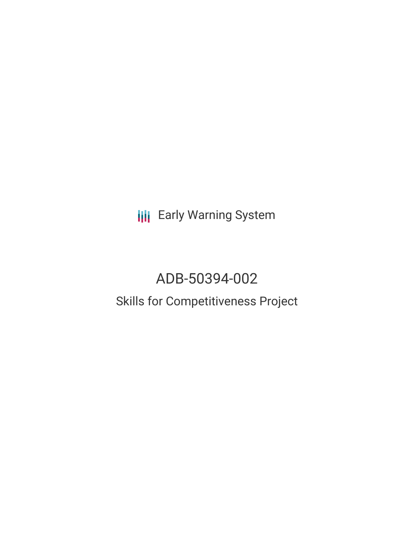**III** Early Warning System

# ADB-50394-002 Skills for Competitiveness Project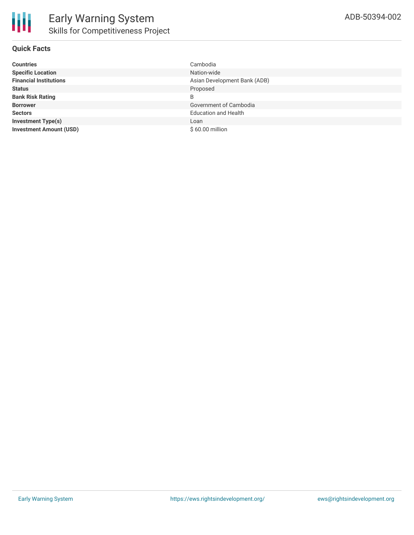## **Quick Facts**

| <b>Countries</b>               | Cambodia                     |
|--------------------------------|------------------------------|
| <b>Specific Location</b>       | Nation-wide                  |
| <b>Financial Institutions</b>  | Asian Development Bank (ADB) |
| <b>Status</b>                  | Proposed                     |
| <b>Bank Risk Rating</b>        | B                            |
| <b>Borrower</b>                | Government of Cambodia       |
| <b>Sectors</b>                 | <b>Education and Health</b>  |
| <b>Investment Type(s)</b>      | Loan                         |
| <b>Investment Amount (USD)</b> | \$60.00 million              |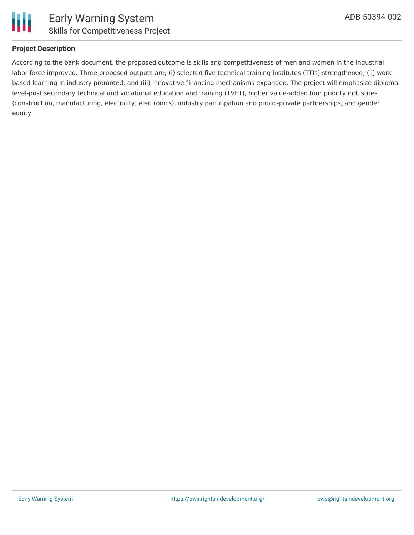

## **Project Description**

According to the bank document, the proposed outcome is skills and competitiveness of men and women in the industrial labor force improved. Three proposed outputs are; (i) selected five technical training institutes (TTIs) strengthened; (ii) workbased learning in industry promoted; and (iii) innovative financing mechanisms expanded. The project will emphasize diploma level-post secondary technical and vocational education and training (TVET), higher value-added four priority industries (construction, manufacturing, electricity, electronics), industry participation and public-private partnerships, and gender equity.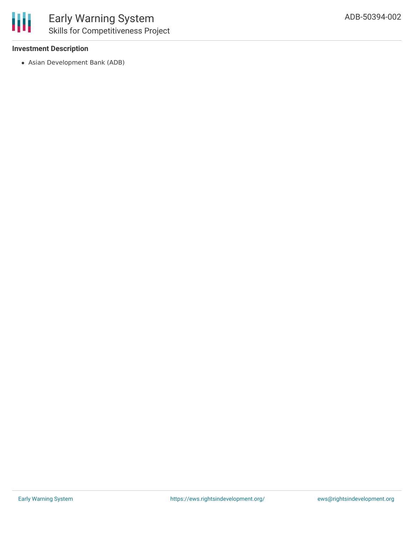### **Investment Description**

Asian Development Bank (ADB)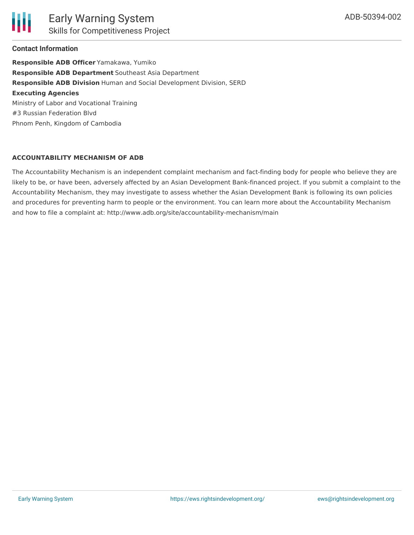Ш

#### **Contact Information**

**Responsible ADB Officer** Yamakawa, Yumiko **Responsible ADB Department** Southeast Asia Department **Responsible ADB Division** Human and Social Development Division, SERD **Executing Agencies** Ministry of Labor and Vocational Training #3 Russian Federation Blvd Phnom Penh, Kingdom of Cambodia

#### **ACCOUNTABILITY MECHANISM OF ADB**

The Accountability Mechanism is an independent complaint mechanism and fact-finding body for people who believe they are likely to be, or have been, adversely affected by an Asian Development Bank-financed project. If you submit a complaint to the Accountability Mechanism, they may investigate to assess whether the Asian Development Bank is following its own policies and procedures for preventing harm to people or the environment. You can learn more about the Accountability Mechanism and how to file a complaint at: http://www.adb.org/site/accountability-mechanism/main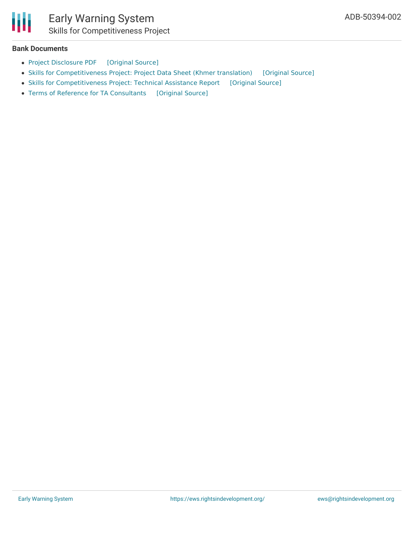

#### **Bank Documents**

- Project [Disclosure](https://ewsdata.rightsindevelopment.org/files/documents/02/ADB-50394-002.pdf) PDF [\[Original](https://www.adb.org/printpdf/projects/50394-002/main) Source]
- Skills for [Competitiveness](https://ewsdata.rightsindevelopment.org/files/documents/02/ADB-50394-002_32EXa2I.pdf) Project: Project Data Sheet (Khmer translation) [\[Original](https://www.adb.org/km/projects/documents/cam-50394-002-pds) Source]
- Skills for [Competitiveness](https://ewsdata.rightsindevelopment.org/files/documents/02/ADB-50394-002_CuEMSgi.pdf) Project: Technical Assistance Report [\[Original](https://www.adb.org/projects/documents/cam-50394-001-tar) Source]
- Terms of Reference for TA [Consultants](https://ewsdata.rightsindevelopment.org/files/documents/02/ADB-50394-002_80364au.pdf) [\[Original](https://www.adb.org/projects/documents/cam-50394-001-tar) Source]